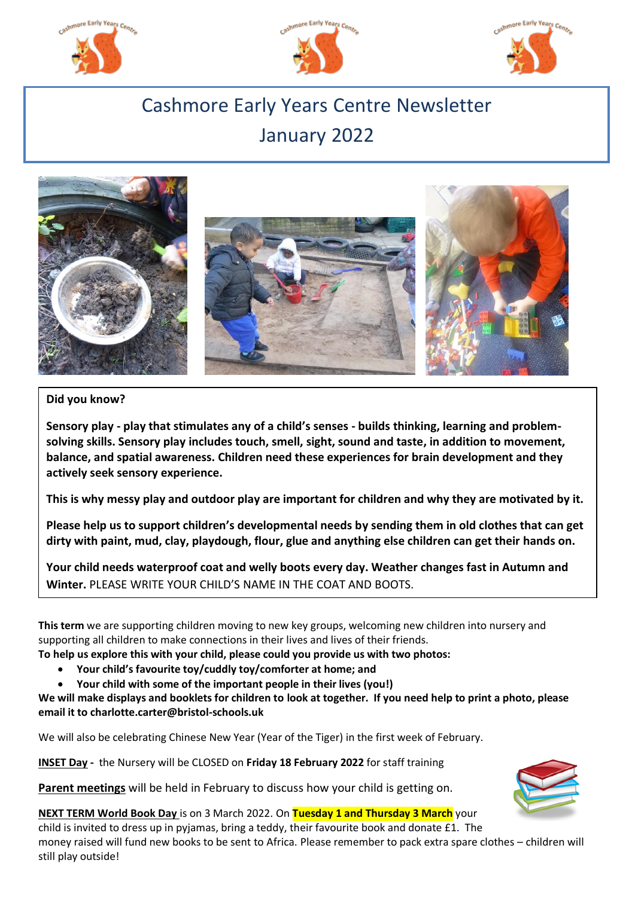





# Cashmore Early Years Centre Newsletter January 2022



# **Did you know?**

**Sensory play - play that stimulates any of a child's senses - builds thinking, learning and problemsolving skills. Sensory play includes touch, smell, sight, sound and taste, in addition to movement, balance, and spatial awareness. Children need these experiences for brain development and they actively seek sensory experience.**

**This is why messy play and outdoor play are important for children and why they are motivated by it.**

**Please help us to support children's developmental needs by sending them in old clothes that can get dirty with paint, mud, clay, playdough, flour, glue and anything else children can get their hands on.**

**Your child needs waterproof coat and welly boots every day. Weather changes fast in Autumn and Winter.** PLEASE WRITE YOUR CHILD'S NAME IN THE COAT AND BOOTS.

**This term** we are supporting children moving to new key groups, welcoming new children into nursery and supporting all children to make connections in their lives and lives of their friends.

**To help us explore this with your child, please could you provide us with two photos:**

- **Your child's favourite toy/cuddly toy/comforter at home; and**
- **Your child with some of the important people in their lives (you!)**

**We will make displays and booklets for children to look at together. If you need help to print a photo, please email it to charlotte.carter@bristol-schools.uk**

We will also be celebrating Chinese New Year (Year of the Tiger) in the first week of February.

**INSET Day -** the Nursery will be CLOSED on **Friday 18 February 2022** for staff training

**Parent meetings** will be held in February to discuss how your child is getting on.



**NEXT TERM World Book Day** is on 3 March 2022. On **Tuesday 1 and Thursday 3 March** your child is invited to dress up in pyjamas, bring a teddy, their favourite book and donate £1. The money raised will fund new books to be sent to Africa. Please remember to pack extra spare clothes – children will still play outside!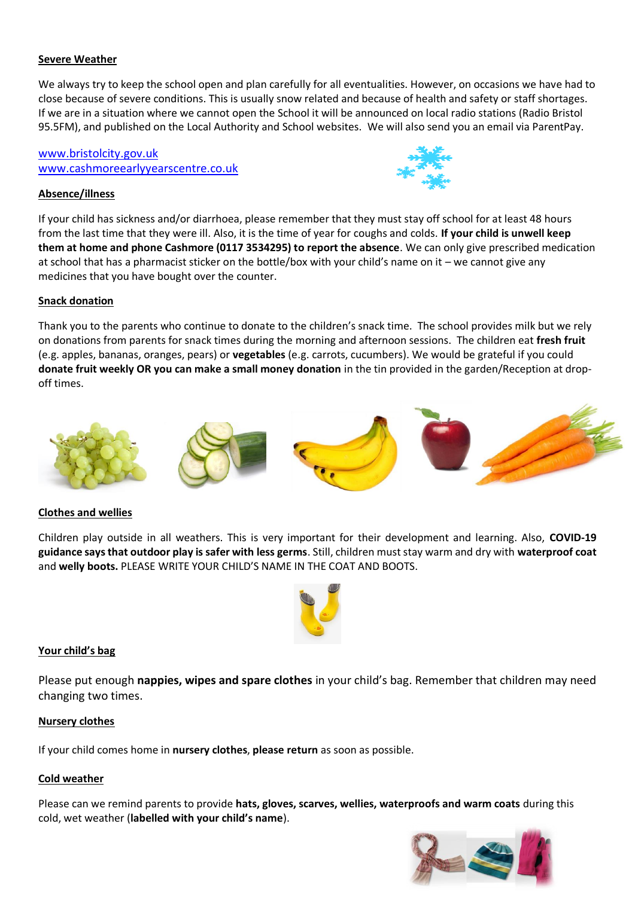## **Severe Weather**

We always try to keep the school open and plan carefully for all eventualities. However, on occasions we have had to close because of severe conditions. This is usually snow related and because of health and safety or staff shortages. If we are in a situation where we cannot open the School it will be announced on local radio stations (Radio Bristol 95.5FM), and published on the Local Authority and School websites. We will also send you an email via ParentPay.

## [www.bristolcity.gov.uk](http://www.bristolcity.gov.uk/) www.cashmoreearlyyearscentre.co.uk

#### **Absence/illness**



If your child has sickness and/or diarrhoea, please remember that they must stay off school for at least 48 hours from the last time that they were ill. Also, it is the time of year for coughs and colds. **If your child is unwell keep them at home and phone Cashmore (0117 3534295) to report the absence**. We can only give prescribed medication at school that has a pharmacist sticker on the bottle/box with your child's name on it – we cannot give any medicines that you have bought over the counter.

#### **Snack donation**

Thank you to the parents who continue to donate to the children's snack time. The school provides milk but we rely on donations from parents for snack times during the morning and afternoon sessions. The children eat **fresh fruit** (e.g. apples, bananas, oranges, pears) or **vegetables** (e.g. carrots, cucumbers). We would be grateful if you could **donate fruit weekly OR you can make a small money donation** in the tin provided in the garden/Reception at dropoff times.



## **Clothes and wellies**

Children play outside in all weathers. This is very important for their development and learning. Also, **COVID-19 guidance says that outdoor play is safer with less germs**. Still, children must stay warm and dry with **waterproof coat** and **welly boots.** PLEASE WRITE YOUR CHILD'S NAME IN THE COAT AND BOOTS.



#### **Your child's bag**

Please put enough **nappies, wipes and spare clothes** in your child's bag. Remember that children may need changing two times.

#### **Nursery clothes**

If your child comes home in **nursery clothes**, **please return** as soon as possible.

#### **Cold weather**

Please can we remind parents to provide **hats, gloves, scarves, wellies, waterproofs and warm coats** during this cold, wet weather (**labelled with your child's name**).

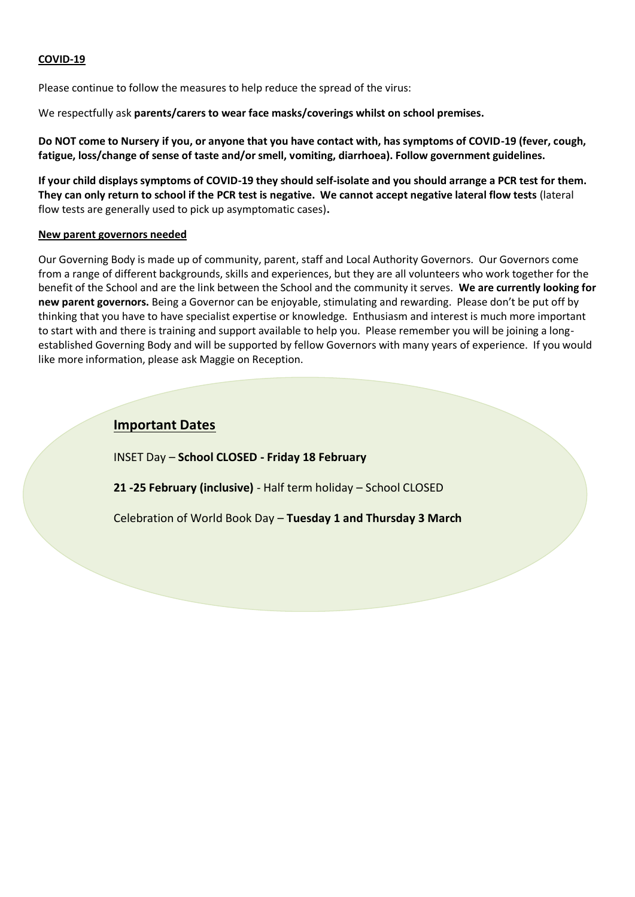#### **COVID-19**

Please continue to follow the measures to help reduce the spread of the virus:

We respectfully ask **parents/carers to wear face masks/coverings whilst on school premises.**

**Do NOT come to Nursery if you, or anyone that you have contact with, has symptoms of COVID-19 (fever, cough, fatigue, loss/change of sense of taste and/or smell, vomiting, diarrhoea). Follow government guidelines.**

**If your child displays symptoms of COVID-19 they should self-isolate and you should arrange a PCR test for them. They can only return to school if the PCR test is negative. We cannot accept negative lateral flow tests** (lateral flow tests are generally used to pick up asymptomatic cases)**.** 

#### **New parent governors needed**

Our Governing Body is made up of community, parent, staff and Local Authority Governors. Our Governors come from a range of different backgrounds, skills and experiences, but they are all volunteers who work together for the benefit of the School and are the link between the School and the community it serves. **We are currently looking for new parent governors.** Being a Governor can be enjoyable, stimulating and rewarding. Please don't be put off by thinking that you have to have specialist expertise or knowledge. Enthusiasm and interest is much more important to start with and there is training and support available to help you. Please remember you will be joining a longestablished Governing Body and will be supported by fellow Governors with many years of experience. If you would like more information, please ask Maggie on Reception.

# **Important Dates**

INSET Day – **School CLOSED - Friday 18 February**

**21 -25 February (inclusive)** - Half term holiday – School CLOSED

Celebration of World Book Day – **Tuesday 1 and Thursday 3 March**